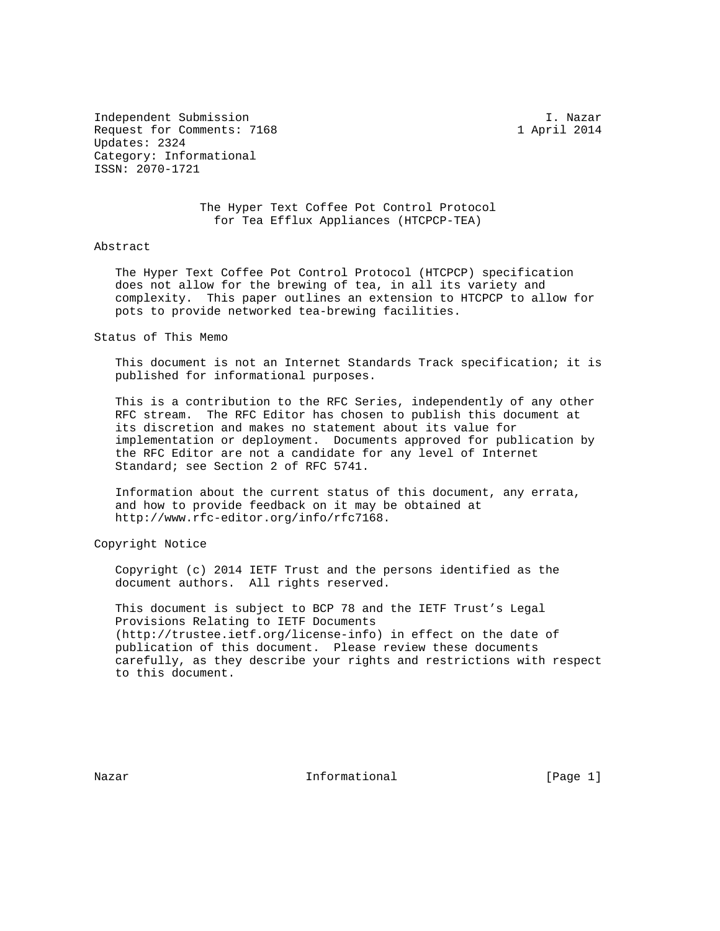Independent Submission I. Nazar Request for Comments: 7168 1 April 2014 Updates: 2324 Category: Informational ISSN: 2070-1721

> The Hyper Text Coffee Pot Control Protocol for Tea Efflux Appliances (HTCPCP-TEA)

## Abstract

 The Hyper Text Coffee Pot Control Protocol (HTCPCP) specification does not allow for the brewing of tea, in all its variety and complexity. This paper outlines an extension to HTCPCP to allow for pots to provide networked tea-brewing facilities.

Status of This Memo

 This document is not an Internet Standards Track specification; it is published for informational purposes.

 This is a contribution to the RFC Series, independently of any other RFC stream. The RFC Editor has chosen to publish this document at its discretion and makes no statement about its value for implementation or deployment. Documents approved for publication by the RFC Editor are not a candidate for any level of Internet Standard; see Section 2 of RFC 5741.

 Information about the current status of this document, any errata, and how to provide feedback on it may be obtained at http://www.rfc-editor.org/info/rfc7168.

Copyright Notice

 Copyright (c) 2014 IETF Trust and the persons identified as the document authors. All rights reserved.

 This document is subject to BCP 78 and the IETF Trust's Legal Provisions Relating to IETF Documents (http://trustee.ietf.org/license-info) in effect on the date of publication of this document. Please review these documents carefully, as they describe your rights and restrictions with respect to this document.

Nazar **Informational Informational** [Page 1]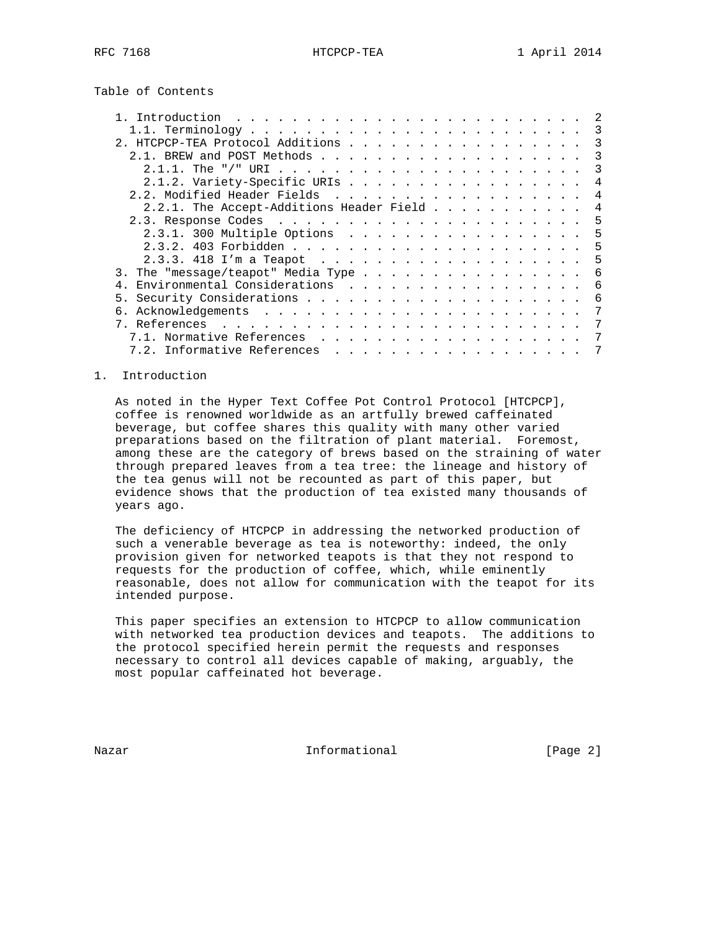Table of Contents

| 2. HTCPCP-TEA Protocol Additions                                                                                                                                                                                                                |   |
|-------------------------------------------------------------------------------------------------------------------------------------------------------------------------------------------------------------------------------------------------|---|
|                                                                                                                                                                                                                                                 |   |
|                                                                                                                                                                                                                                                 |   |
| 2.1.2. Variety-Specific URIs                                                                                                                                                                                                                    |   |
|                                                                                                                                                                                                                                                 | 4 |
| 2.2.1. The Accept-Additions Header Field                                                                                                                                                                                                        |   |
|                                                                                                                                                                                                                                                 | 5 |
| 2.3.1. 300 Multiple Options                                                                                                                                                                                                                     | 5 |
|                                                                                                                                                                                                                                                 | 5 |
|                                                                                                                                                                                                                                                 | 5 |
| 3. The "message/teapot" Media Type                                                                                                                                                                                                              | 6 |
| Environmental Considerations                                                                                                                                                                                                                    | 6 |
| 5.                                                                                                                                                                                                                                              | 6 |
| 6.                                                                                                                                                                                                                                              |   |
| 7. References<br>and the contract of the contract of the contract of the contract of the contract of the contract of the contract of the contract of the contract of the contract of the contract of the contract of the contract of the contra |   |
| Normative References                                                                                                                                                                                                                            |   |
|                                                                                                                                                                                                                                                 |   |

# 1. Introduction

 As noted in the Hyper Text Coffee Pot Control Protocol [HTCPCP], coffee is renowned worldwide as an artfully brewed caffeinated beverage, but coffee shares this quality with many other varied preparations based on the filtration of plant material. Foremost, among these are the category of brews based on the straining of water through prepared leaves from a tea tree: the lineage and history of the tea genus will not be recounted as part of this paper, but evidence shows that the production of tea existed many thousands of years ago.

 The deficiency of HTCPCP in addressing the networked production of such a venerable beverage as tea is noteworthy: indeed, the only provision given for networked teapots is that they not respond to requests for the production of coffee, which, while eminently reasonable, does not allow for communication with the teapot for its intended purpose.

 This paper specifies an extension to HTCPCP to allow communication with networked tea production devices and teapots. The additions to the protocol specified herein permit the requests and responses necessary to control all devices capable of making, arguably, the most popular caffeinated hot beverage.

Nazar **Informational Informational** [Page 2]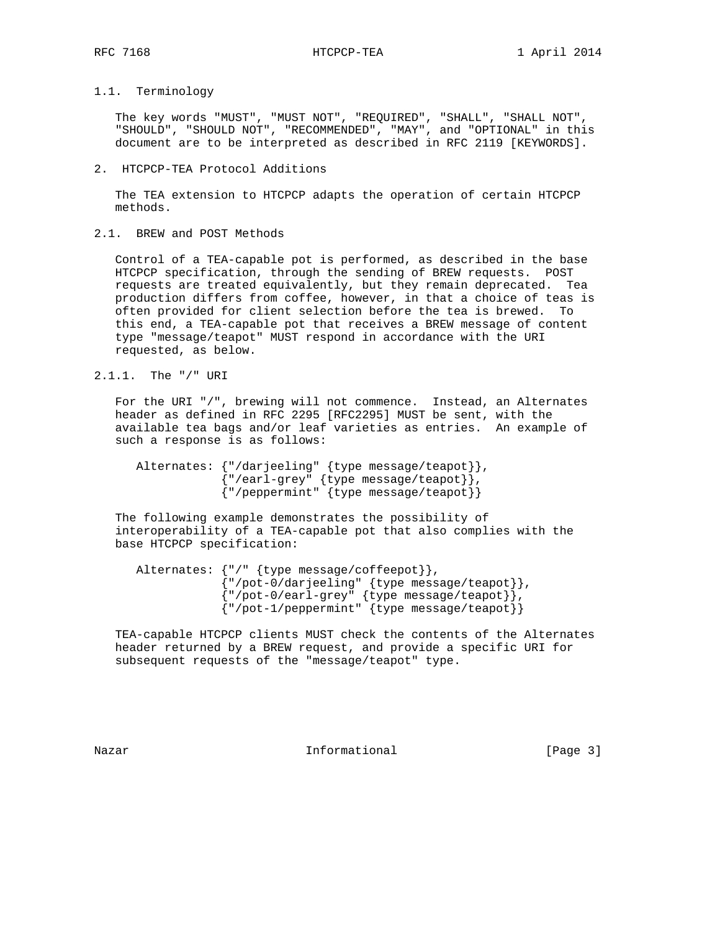# 1.1. Terminology

 The key words "MUST", "MUST NOT", "REQUIRED", "SHALL", "SHALL NOT", "SHOULD", "SHOULD NOT", "RECOMMENDED", "MAY", and "OPTIONAL" in this document are to be interpreted as described in RFC 2119 [KEYWORDS].

#### 2. HTCPCP-TEA Protocol Additions

 The TEA extension to HTCPCP adapts the operation of certain HTCPCP methods.

2.1. BREW and POST Methods

 Control of a TEA-capable pot is performed, as described in the base HTCPCP specification, through the sending of BREW requests. POST requests are treated equivalently, but they remain deprecated. Tea production differs from coffee, however, in that a choice of teas is often provided for client selection before the tea is brewed. To this end, a TEA-capable pot that receives a BREW message of content type "message/teapot" MUST respond in accordance with the URI requested, as below.

2.1.1. The "/" URI

 For the URI "/", brewing will not commence. Instead, an Alternates header as defined in RFC 2295 [RFC2295] MUST be sent, with the available tea bags and/or leaf varieties as entries. An example of such a response is as follows:

| Alternates: $\{ "/darjeeling" \{ type message/teapot] \},$    |
|---------------------------------------------------------------|
| ${\lceil "/earth-grey" \lceil (type message/teapot] \rceil},$ |
| ${ " /peppermint" { type message /teapot } }$                 |

 The following example demonstrates the possibility of interoperability of a TEA-capable pot that also complies with the base HTCPCP specification:

| Alternates: $\{ " \, / \, " \, \{ type message / \text{coffeepot} \} \}$ , |
|----------------------------------------------------------------------------|
| {"/pot-0/darjeeling" {type message/teapot}},                               |
| ${''/pot-0/earl-grey" {type message/teapot}}$ ,                            |
| ${''/pot-1/peppermint" {type message/teapot}}$                             |

 TEA-capable HTCPCP clients MUST check the contents of the Alternates header returned by a BREW request, and provide a specific URI for subsequent requests of the "message/teapot" type.

Nazar **Informational Informational** [Page 3]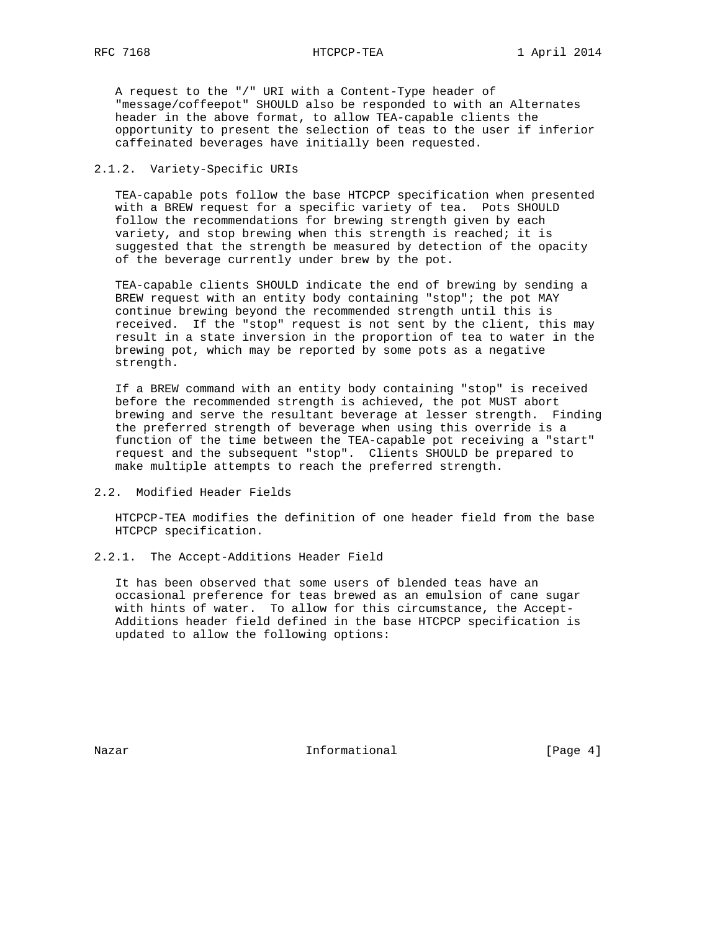A request to the "/" URI with a Content-Type header of "message/coffeepot" SHOULD also be responded to with an Alternates header in the above format, to allow TEA-capable clients the opportunity to present the selection of teas to the user if inferior caffeinated beverages have initially been requested.

# 2.1.2. Variety-Specific URIs

 TEA-capable pots follow the base HTCPCP specification when presented with a BREW request for a specific variety of tea. Pots SHOULD follow the recommendations for brewing strength given by each variety, and stop brewing when this strength is reached; it is suggested that the strength be measured by detection of the opacity of the beverage currently under brew by the pot.

 TEA-capable clients SHOULD indicate the end of brewing by sending a BREW request with an entity body containing "stop"; the pot MAY continue brewing beyond the recommended strength until this is received. If the "stop" request is not sent by the client, this may result in a state inversion in the proportion of tea to water in the brewing pot, which may be reported by some pots as a negative strength.

 If a BREW command with an entity body containing "stop" is received before the recommended strength is achieved, the pot MUST abort brewing and serve the resultant beverage at lesser strength. Finding the preferred strength of beverage when using this override is a function of the time between the TEA-capable pot receiving a "start" request and the subsequent "stop". Clients SHOULD be prepared to make multiple attempts to reach the preferred strength.

2.2. Modified Header Fields

 HTCPCP-TEA modifies the definition of one header field from the base HTCPCP specification.

2.2.1. The Accept-Additions Header Field

 It has been observed that some users of blended teas have an occasional preference for teas brewed as an emulsion of cane sugar with hints of water. To allow for this circumstance, the Accept- Additions header field defined in the base HTCPCP specification is updated to allow the following options:

Nazar **Informational Informational** [Page 4]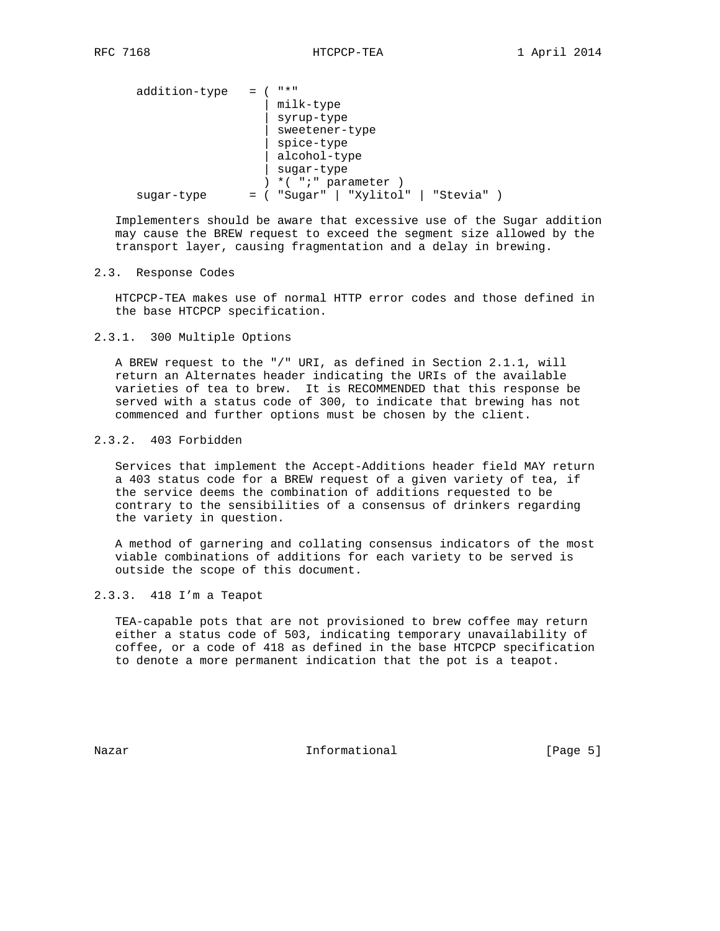| addition-type | " * "            |           |          |  |
|---------------|------------------|-----------|----------|--|
|               | milk-type        |           |          |  |
|               | syrup-type       |           |          |  |
|               | sweetener-type   |           |          |  |
|               | spice-type       |           |          |  |
|               | alcohol-type     |           |          |  |
|               | sugar-type       |           |          |  |
|               | *( ";" parameter |           |          |  |
| sugar-type    | "Sugar"          | "Xylitol" | "Stevia" |  |

 Implementers should be aware that excessive use of the Sugar addition may cause the BREW request to exceed the segment size allowed by the transport layer, causing fragmentation and a delay in brewing.

# 2.3. Response Codes

 HTCPCP-TEA makes use of normal HTTP error codes and those defined in the base HTCPCP specification.

# 2.3.1. 300 Multiple Options

 A BREW request to the "/" URI, as defined in Section 2.1.1, will return an Alternates header indicating the URIs of the available varieties of tea to brew. It is RECOMMENDED that this response be served with a status code of 300, to indicate that brewing has not commenced and further options must be chosen by the client.

#### 2.3.2. 403 Forbidden

 Services that implement the Accept-Additions header field MAY return a 403 status code for a BREW request of a given variety of tea, if the service deems the combination of additions requested to be contrary to the sensibilities of a consensus of drinkers regarding the variety in question.

 A method of garnering and collating consensus indicators of the most viable combinations of additions for each variety to be served is outside the scope of this document.

## 2.3.3. 418 I'm a Teapot

 TEA-capable pots that are not provisioned to brew coffee may return either a status code of 503, indicating temporary unavailability of coffee, or a code of 418 as defined in the base HTCPCP specification to denote a more permanent indication that the pot is a teapot.

Nazar **Informational Informational** [Page 5]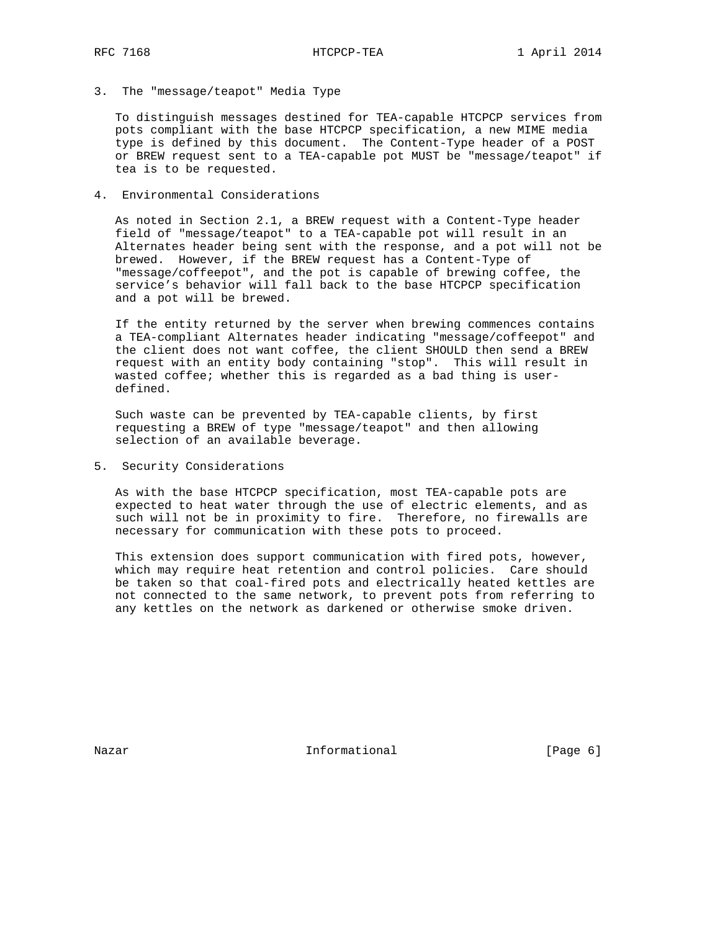3. The "message/teapot" Media Type

 To distinguish messages destined for TEA-capable HTCPCP services from pots compliant with the base HTCPCP specification, a new MIME media type is defined by this document. The Content-Type header of a POST or BREW request sent to a TEA-capable pot MUST be "message/teapot" if tea is to be requested.

4. Environmental Considerations

 As noted in Section 2.1, a BREW request with a Content-Type header field of "message/teapot" to a TEA-capable pot will result in an Alternates header being sent with the response, and a pot will not be brewed. However, if the BREW request has a Content-Type of "message/coffeepot", and the pot is capable of brewing coffee, the service's behavior will fall back to the base HTCPCP specification and a pot will be brewed.

 If the entity returned by the server when brewing commences contains a TEA-compliant Alternates header indicating "message/coffeepot" and the client does not want coffee, the client SHOULD then send a BREW request with an entity body containing "stop". This will result in wasted coffee; whether this is regarded as a bad thing is user defined.

 Such waste can be prevented by TEA-capable clients, by first requesting a BREW of type "message/teapot" and then allowing selection of an available beverage.

5. Security Considerations

 As with the base HTCPCP specification, most TEA-capable pots are expected to heat water through the use of electric elements, and as such will not be in proximity to fire. Therefore, no firewalls are necessary for communication with these pots to proceed.

 This extension does support communication with fired pots, however, which may require heat retention and control policies. Care should be taken so that coal-fired pots and electrically heated kettles are not connected to the same network, to prevent pots from referring to any kettles on the network as darkened or otherwise smoke driven.

Nazar **Informational Informational** [Page 6]